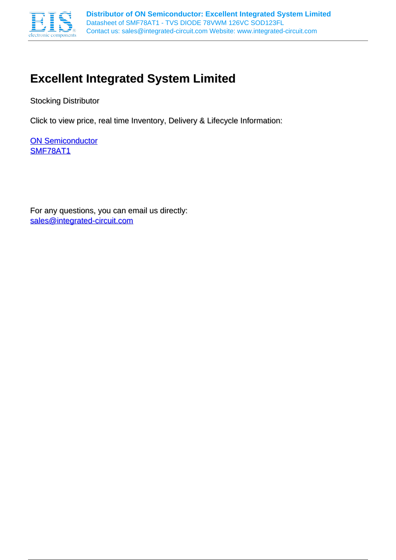

# **Excellent Integrated System Limited**

Stocking Distributor

Click to view price, real time Inventory, Delivery & Lifecycle Information:

**[ON Semiconductor](http://www.integrated-circuit.com/manufacturers/On-Semiconductor.html)** [SMF78AT1](http://www.integrated-circuit.com/tag/SMF78AT1.html)

For any questions, you can email us directly: [sales@integrated-circuit.com](mailto:sales@integrated-circuit.com)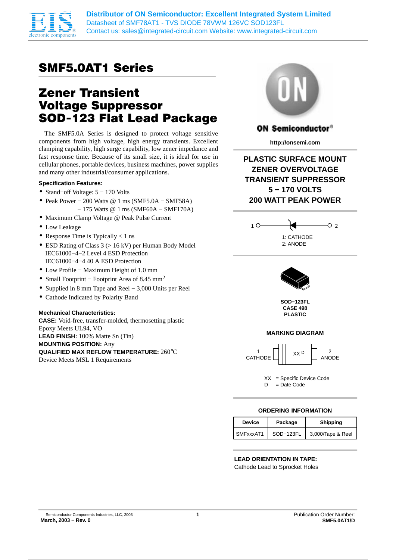

**Distributor of ON Semiconductor: Excellent Integrated System Limited** Datasheet of SMF78AT1 - TVS DIODE 78VWM 126VC SOD123FL Contact us: sales@integrated-circuit.com Website: www.integrated-circuit.com

# SMF5.0AT1 Series

# Zener Transient Voltage Suppressor SOD−123 Flat Lead Package

The SMF5.0A Series is designed to protect voltage sensitive components from high voltage, high energy transients. Excellent clamping capability, high surge capability, low zener impedance and fast response time. Because of its small size, it is ideal for use in cellular phones, portable devices, business machines, power supplies and many other industrial/consumer applications.

#### **Specification Features:**

- Stand−off Voltage: 5 − 170 Volts
- Peak Power − 200 Watts @ 1 ms (SMF5.0A − SMF58A) − 175 Watts @ 1 ms (SMF60A – SMF170A)
- Maximum Clamp Voltage @ Peak Pulse Current
- Low Leakage
- Response Time is Typically  $< 1$  ns
- ESD Rating of Class  $3$  ( $> 16$  kV) per Human Body Model IEC61000−4−2 Level 4 ESD Protection IEC61000−4−4 40 A ESD Protection
- Low Profile − Maximum Height of 1.0 mm
- Small Footprint − Footprint Area of 8.45 mm2
- Supplied in 8 mm Tape and Reel − 3,000 Units per Reel
- Cathode Indicated by Polarity Band

#### **Mechanical Characteristics:**

**CASE:** Void-free, transfer-molded, thermosetting plastic Epoxy Meets UL94, VO **LEAD FINISH:** 100% Matte Sn (Tin) **MOUNTING POSITION:** Any **QUALIFIED MAX REFLOW TEMPERATURE:** 260°C Device Meets MSL 1 Requirements



## **ON Semiconductor®**

**http://onsemi.com**

**PLASTIC SURFACE MOUNT ZENER OVERVOLTAGE TRANSIENT SUPPRESSOR 5 − 170 VOLTS 200 WATT PEAK POWER**





**SOD−123FL CASE 498 PLASTIC**

## **MARKING DIAGRAM**



XX = Specific Device Code D = Date Code

## **ORDERING INFORMATION**

| <b>Device</b> | Package   | <b>Shipping</b>   |  |  |
|---------------|-----------|-------------------|--|--|
| SMFxxxAT1     | SOD-123FL | 3,000/Tape & Reel |  |  |

# **LEAD ORIENTATION IN TAPE:**

Cathode Lead to Sprocket Holes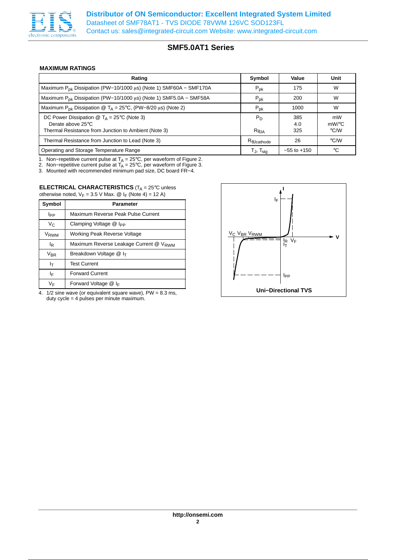

### **MAXIMUM RATINGS**

| Rating                                                                                                                                       | Symbol                                 | Value             | Unit                            |
|----------------------------------------------------------------------------------------------------------------------------------------------|----------------------------------------|-------------------|---------------------------------|
| Maximum $P_{DK}$ Dissipation (PW-10/1000 µs) (Note 1) SMF60A - SMF170A                                                                       | $P_{\rm pk}$                           | 175               | W                               |
| Maximum $P_{\text{pk}}$ Dissipation (PW-10/1000 µs) (Note 1) SMF5.0A - SMF58A                                                                | $P_{\text{pk}}$                        | 200               | W                               |
| Maximum P <sub>pk</sub> Dissipation @ T <sub>A</sub> = 25°C, (PW-8/20 $\mu$ s) (Note 2)                                                      | $P_{\sf pk}$                           | 1000              | W                               |
| DC Power Dissipation $\circledR$ T <sub>A</sub> = 25°C (Note 3)<br>Derate above 25°C<br>Thermal Resistance from Junction to Ambient (Note 3) | $P_D$<br>$R_{\theta,IA}$               | 385<br>4.0<br>325 | mW<br>$mW$ /°C<br>$\degree$ C/W |
| Thermal Resistance from Junction to Lead (Note 3)                                                                                            | $\mathsf{R}_{\theta\mathsf{Jcathode}}$ | 26                | °C/W                            |
| Operating and Storage Temperature Range                                                                                                      | $T_{\sf J}$ , $T_{\sf sta}$            | $-55$ to $+150$   | °C                              |

1. Non–repetitive current pulse at T<sub>A</sub> = 25°C, per waveform of Figure 2.

2. Non−repetitive current pulse at T<sub>A</sub> = 25°C, per waveform of Figure 3.<br>3. Mounted with recommended minimum pad size, DC board FR−4.

#### **ELECTRICAL CHARACTERISTICS** (T<sub>A</sub> = 25°C unless otherwise noted,  $V_F = 3.5$  V Max. @ I<sub>F</sub> (Note 4) = 12 A)

| Symbol           | Parameter                              |  |  |  |  |  |
|------------------|----------------------------------------|--|--|--|--|--|
| Ipp              | Maximum Reverse Peak Pulse Current     |  |  |  |  |  |
| V <sub>C</sub>   | Clamping Voltage @ I <sub>PP</sub>     |  |  |  |  |  |
| V <sub>RWM</sub> | Working Peak Reverse Voltage           |  |  |  |  |  |
| <sup>I</sup> R   | Maximum Reverse Leakage Current @ VRWM |  |  |  |  |  |
| $\rm V_{BR}$     | Breakdown Voltage @ I <sub>T</sub>     |  |  |  |  |  |
| Iτ               | <b>Test Current</b>                    |  |  |  |  |  |
| ΙF               | <b>Forward Current</b>                 |  |  |  |  |  |
| ٧F               | Forward Voltage $@$ I <sub>F</sub>     |  |  |  |  |  |

4. 1/2 sine wave (or equivalent square wave), PW = 8.3 ms, duty cycle = 4 pulses per minute maximum.

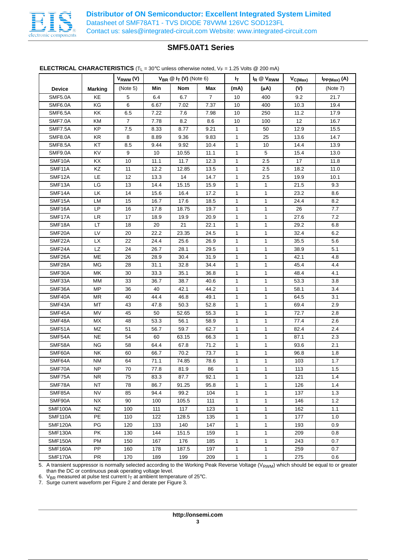

## **ELECTRICAL CHARACTERISTICS**  $(T_L = 30^{\circ}C$  unless otherwise noted,  $V_F = 1.25$  Volts @ 200 mA)

|                |                | $V_{RWM} (V)$    |      | $V_{BR} \n\circledcirc F_{T} (V)$ (Note 6) |                | I <sub>T</sub> | $I_R \otimes V_{RWM}$ | $V_{C(Max)}$ | $I_{PP(Max)}(A)$ |
|----------------|----------------|------------------|------|--------------------------------------------|----------------|----------------|-----------------------|--------------|------------------|
| <b>Device</b>  | <b>Marking</b> | (Note 5)         | Min  | <b>Nom</b>                                 | Max            | (mA)           | (μA)                  | (V)          | (Note 7)         |
| <b>SMF5.0A</b> | KE             | 5                | 6.4  | 6.7                                        | $\overline{7}$ | 10             | 400                   | 9.2          | 21.7             |
| SMF6.0A        | KG             | 6                | 6.67 | 7.02                                       | 7.37           | 10             | 400                   | 10.3         | 19.4             |
| SMF6.5A        | KK             | 6.5              | 7.22 | 7.6                                        | 7.98           | 10             | 250                   | 11.2         | 17.9             |
| <b>SMF7.0A</b> | <b>KM</b>      | $\overline{7}$   | 7.78 | 8.2                                        | 8.6            | 10             | 100                   | 12           | 16.7             |
| <b>SMF7.5A</b> | KP             | 7.5              | 8.33 | 8.77                                       | 9.21           | $\mathbf{1}$   | 50                    | 12.9         | 15.5             |
| <b>SMF8.0A</b> | KR             | 8                | 8.89 | 9.36                                       | 9.83           | 1              | 25                    | 13.6         | 14.7             |
| <b>SMF8.5A</b> | KT             | 8.5              | 9.44 | 9.92                                       | 10.4           | 1              | 10                    | 14.4         | 13.9             |
| <b>SMF9.0A</b> | KV             | $\boldsymbol{9}$ | 10   | 10.55                                      | 11.1           | 1              | 5                     | 15.4         | 13.0             |
| SMF10A         | KX             | 10               | 11.1 | 11.7                                       | 12.3           | 1              | 2.5                   | 17           | 11.8             |
| SMF11A         | KZ             | 11               | 12.2 | 12.85                                      | 13.5           | 1              | 2.5                   | 18.2         | 11.0             |
| SMF12A         | LE             | 12               | 13.3 | 14                                         | 14.7           | 1              | 2.5                   | 19.9         | 10.1             |
| SMF13A         | LG             | 13               | 14.4 | 15.15                                      | 15.9           | 1              | 1                     | 21.5         | 9.3              |
| SMF14A         | LK             | 14               | 15.6 | 16.4                                       | 17.2           | 1              | 1                     | 23.2         | 8.6              |
| SMF15A         | LM             | 15               | 16.7 | 17.6                                       | 18.5           | 1              | 1                     | 24.4         | 8.2              |
| SMF16A         | LP             | 16               | 17.8 | 18.75                                      | 19.7           | 1              | 1                     | 26           | 7.7              |
| SMF17A         | <b>LR</b>      | 17               | 18.9 | 19.9                                       | 20.9           | 1              | 1                     | 27.6         | 7.2              |
| SMF18A         | LT             | 18               | 20   | 21                                         | 22.1           | 1              | 1                     | 29.2         | 6.8              |
| SMF20A         | LV             | 20               | 22.2 | 23.35                                      | 24.5           | 1              | 1                     | 32.4         | 6.2              |
| SMF22A         | <b>LX</b>      | 22               | 24.4 | 25.6                                       | 26.9           | 1              | 1                     | 35.5         | 5.6              |
| SMF24A         | LZ             | 24               | 26.7 | 28.1                                       | 29.5           | 1              | 1                     | 38.9         | 5.1              |
| SMF26A         | ME             | 26               | 28.9 | 30.4                                       | 31.9           | 1              | 1                     | 42.1         | 4.8              |
| SMF28A         | MG             | 28               | 31.1 | 32.8                                       | 34.4           | 1              | 1                     | 45.4         | 4.4              |
| SMF30A         | МK             | 30               | 33.3 | 35.1                                       | 36.8           | 1              | 1                     | 48.4         | 4.1              |
| SMF33A         | МM             | 33               | 36.7 | 38.7                                       | 40.6           | 1              | 1                     | 53.3         | 3.8              |
| SMF36A         | MP             | 36               | 40   | 42.1                                       | 44.2           | 1              | 1                     | 58.1         | 3.4              |
| SMF40A         | ΜR             | 40               | 44.4 | 46.8                                       | 49.1           | 1              | 1                     | 64.5         | 3.1              |
| SMF43A         | МT             | 43               | 47.8 | 50.3                                       | 52.8           | 1              | 1                     | 69.4         | 2.9              |
| SMF45A         | MV             | 45               | 50   | 52.65                                      | 55.3           | 1              | 1                     | 72.7         | 2.8              |
| SMF48A         | МX             | 48               | 53.3 | 56.1                                       | 58.9           | 1              | 1                     | 77.4         | 2.6              |
| SMF51A         | ΜZ             | 51               | 56.7 | 59.7                                       | 62.7           | 1              | 1                     | 82.4         | 2.4              |
| SMF54A         | NE             | 54               | 60   | 63.15                                      | 66.3           | 1              | 1                     | 87.1         | 2.3              |
| SMF58A         | <b>NG</b>      | 58               | 64.4 | 67.8                                       | 71.2           | 1              | 1                     | 93.6         | 2.1              |
| SMF60A         | NΚ             | 60               | 66.7 | 70.2                                       | 73.7           | 1              | 1                     | 96.8         | 1.8              |
| SMF64A         | <b>NM</b>      | 64               | 71.1 | 74.85                                      | 78.6           | 1              | 1                     | 103          | 1.7              |
| SMF70A         | <b>NP</b>      | 70               | 77.8 | 81.9                                       | 86             | $\mathbf{1}$   | 1                     | 113          | $1.5\,$          |
| SMF75A         | NR.            | 75               | 83.3 | 87.7                                       | 92.1           | 1              | 1                     | 121          | 1.4              |
| SMF78A         | NT             | 78               | 86.7 | 91.25                                      | 95.8           | $\mathbf{1}$   | 1                     | 126          | 1.4              |
| SMF85A         | <b>NV</b>      | 85               | 94.4 | 99.2                                       | 104            | $\mathbf{1}$   | 1                     | 137          | 1.3              |
| SMF90A         | NX.            | 90               | 100  | 105.5                                      | 111            | $\mathbf{1}$   | 1                     | 146          | 1.2              |
| <b>SMF100A</b> | NZ             | 100              | 111  | 117                                        | 123            | $\mathbf{1}$   | 1                     | 162          | 1.1              |
| <b>SMF110A</b> | PE             | 110              | 122  | 128.5                                      | 135            | 1              | 1                     | 177          | 1.0              |
| <b>SMF120A</b> | PG             | 120              | 133  | 140                                        | 147            | 1              | 1                     | 193          | 0.9              |
| <b>SMF130A</b> | PK             | 130              | 144  | 151.5                                      | 159            | 1              | 1                     | 209          | 0.8              |
| <b>SMF150A</b> | PM             | 150              | 167  | 176                                        | 185            | 1              | 1                     | 243          | 0.7              |
| <b>SMF160A</b> | PP             | 160              | 178  | 187.5                                      | 197            | 1              | 1                     | 259          | 0.7              |
| SMF170A        | PR.            | 170              | 189  | 199                                        | 209            | 1              | 1                     | 275          | 0.6              |

5. A transient suppressor is normally selected according to the Working Peak Reverse Voltage (V<sub>RWM</sub>) which should be equal to or greater than the DC or continuous peak operating voltage level.

6. V<sub>BR</sub> measured at pulse test current I<sub>T</sub> at ambient temperature of 25°C.<br>7. Surge current waveform per Figure 2 and derate per Figure 3.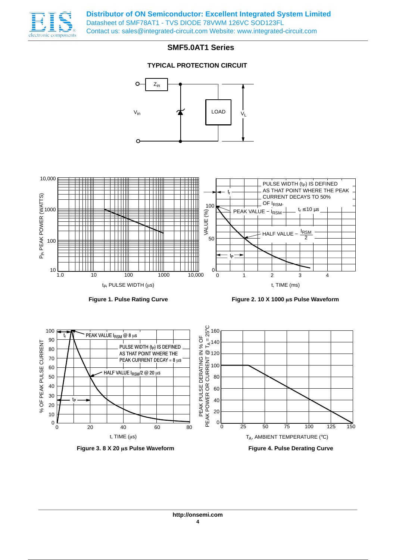

**Distributor of ON Semiconductor: Excellent Integrated System Limited** Datasheet of SMF78AT1 - TVS DIODE 78VWM 126VC SOD123FL Contact us: sales@integrated-circuit.com Website: www.integrated-circuit.com

# **SMF5.0AT1 Series**

# **TYPICAL PROTECTION CIRCUIT**



**Figure 3. 8 X 20 s Pulse Waveform**

**Figure 4. Pulse Derating Curve**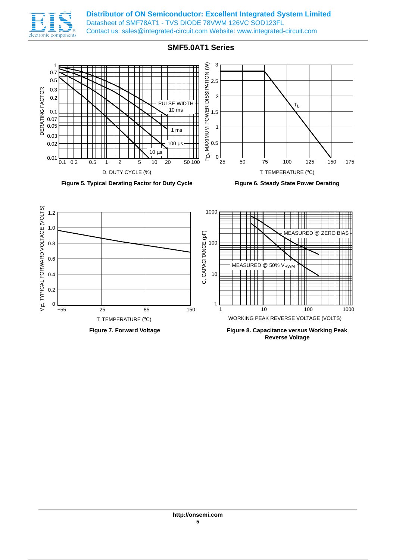

**Distributor of ON Semiconductor: Excellent Integrated System Limited** Datasheet of SMF78AT1 - TVS DIODE 78VWM 126VC SOD123FL Contact us: sales@integrated-circuit.com Website: www.integrated-circuit.com

# **SMF5.0AT1 Series**









**Reverse Voltage**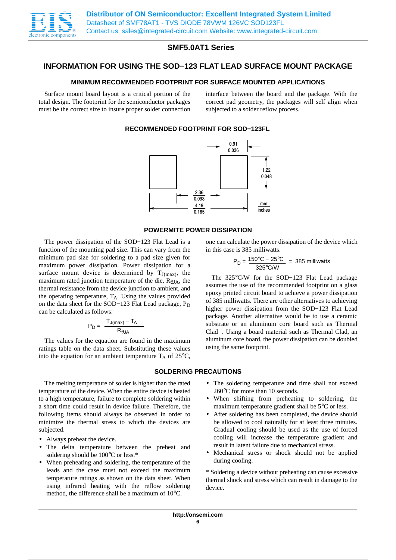

# **INFORMATION FOR USING THE SOD−123 FLAT LEAD SURFACE MOUNT PACKAGE**

## **MINIMUM RECOMMENDED FOOTPRINT FOR SURFACE MOUNTED APPLICATIONS**

Surface mount board layout is a critical portion of the total design. The footprint for the semiconductor packages must be the correct size to insure proper solder connection interface between the board and the package. With the correct pad geometry, the packages will self align when subjected to a solder reflow process.

### **RECOMMENDED FOOTPRINT FOR SOD−123FL**



### **POWERMITE POWER DISSIPATION**

The power dissipation of the SOD−123 Flat Lead is a function of the mounting pad size. This can vary from the minimum pad size for soldering to a pad size given for maximum power dissipation. Power dissipation for a surface mount device is determined by  $T_{J(max)}$ , the maximum rated junction temperature of the die,  $R_{\theta I}$ , the thermal resistance from the device junction to ambient, and the operating temperature,  $T_A$ . Using the values provided on the data sheet for the SOD−123 Flat Lead package,  $P_D$ can be calculated as follows:

$$
P_D = \frac{T_{J(max)} - T_A}{R_{\theta JA}}
$$

The values for the equation are found in the maximum ratings table on the data sheet. Substituting these values into the equation for an ambient temperature  $T_A$  of 25 $\degree$ C,

#### **SOLDERING PRECAUTIONS**

The melting temperature of solder is higher than the rated temperature of the device. When the entire device is heated to a high temperature, failure to complete soldering within a short time could result in device failure. Therefore, the following items should always be observed in order to minimize the thermal stress to which the devices are subjected.

- Always preheat the device.
- The delta temperature between the preheat and soldering should be 100°C or less.\*
- When preheating and soldering, the temperature of the leads and the case must not exceed the maximum temperature ratings as shown on the data sheet. When using infrared heating with the reflow soldering method, the difference shall be a maximum of 10°C.

one can calculate the power dissipation of the device which in this case is 385 milliwatts.

$$
P_D = \frac{150^{\circ}C - 25^{\circ}C}{325^{\circ}C/W} = 385 \text{ milliwatts}
$$

The 325°C/W for the SOD−123 Flat Lead package assumes the use of the recommended footprint on a glass epoxy printed circuit board to achieve a power dissipation of 385 milliwatts. There are other alternatives to achieving higher power dissipation from the SOD−123 Flat Lead package. Another alternative would be to use a ceramic substrate or an aluminum core board such as Thermal  $C$ lad $^{\circledR}$ . Using a board material such as Thermal Clad, an aluminum core board, the power dissipation can be doubled using the same footprint.

- The soldering temperature and time shall not exceed 260°C for more than 10 seconds.
- When shifting from preheating to soldering, the maximum temperature gradient shall be 5°C or less.
- After soldering has been completed, the device should be allowed to cool naturally for at least three minutes. Gradual cooling should be used as the use of forced cooling will increase the temperature gradient and result in latent failure due to mechanical stress.
- Mechanical stress or shock should not be applied during cooling.

\* Soldering a device without preheating can cause excessive thermal shock and stress which can result in damage to the device.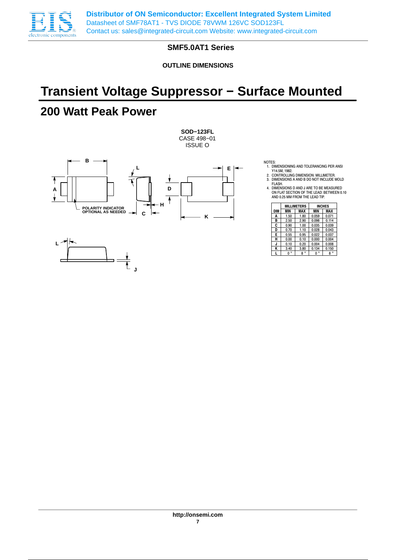

**OUTLINE DIMENSIONS**

# **Transient Voltage Suppressor − Surface Mounted**

# **200 Watt Peak Power**



**J**

- NOTES: 1. DIMENSIONING AND TOLERANCING PER ANSI Y14.5M, 1982.
- 2. CONTROLLING DIMENSION: MILLIMETER. 3. DIMENSIONS A AND B DO NOT INCLUDE MOLD
- FLASH. 4. DIMENSIONS D AND J ARE TO BE MEASURED ON FLAT SECTION OF THE LEAD: BETWEEN 0.10 AND 0.25 MM FROM THE LEAD TIP.

|            |             | <b>MILLIMETERS</b> | <b>INCHES</b> |             |  |
|------------|-------------|--------------------|---------------|-------------|--|
| <b>DIM</b> | <b>MIN</b>  | MAX                | <b>MIN</b>    | MAX         |  |
| A          | 1.50        | 1.80               | 0.059         | 0.071       |  |
| B          | 2.50        | 2.90               | 0.098         | 0.114       |  |
| C          | 0.90        | 1.00               | 0.035         | 0.039       |  |
| D          | 0.70        | 1.10               | 0.028         | 0.043       |  |
| Е          | 0.55        | 0.95               | 0.022         | 0.037       |  |
| н          | 0.00        | 0.10               | 0.000         | 0.004       |  |
| J          | 0.10        | 0.20               | 0.004         | 0.008       |  |
| K          | 3.40        | 3.80               | 0.134         | 0.150       |  |
|            | $0^{\circ}$ | $8^{\circ}$        | $\circ$<br>0  | $8^{\circ}$ |  |